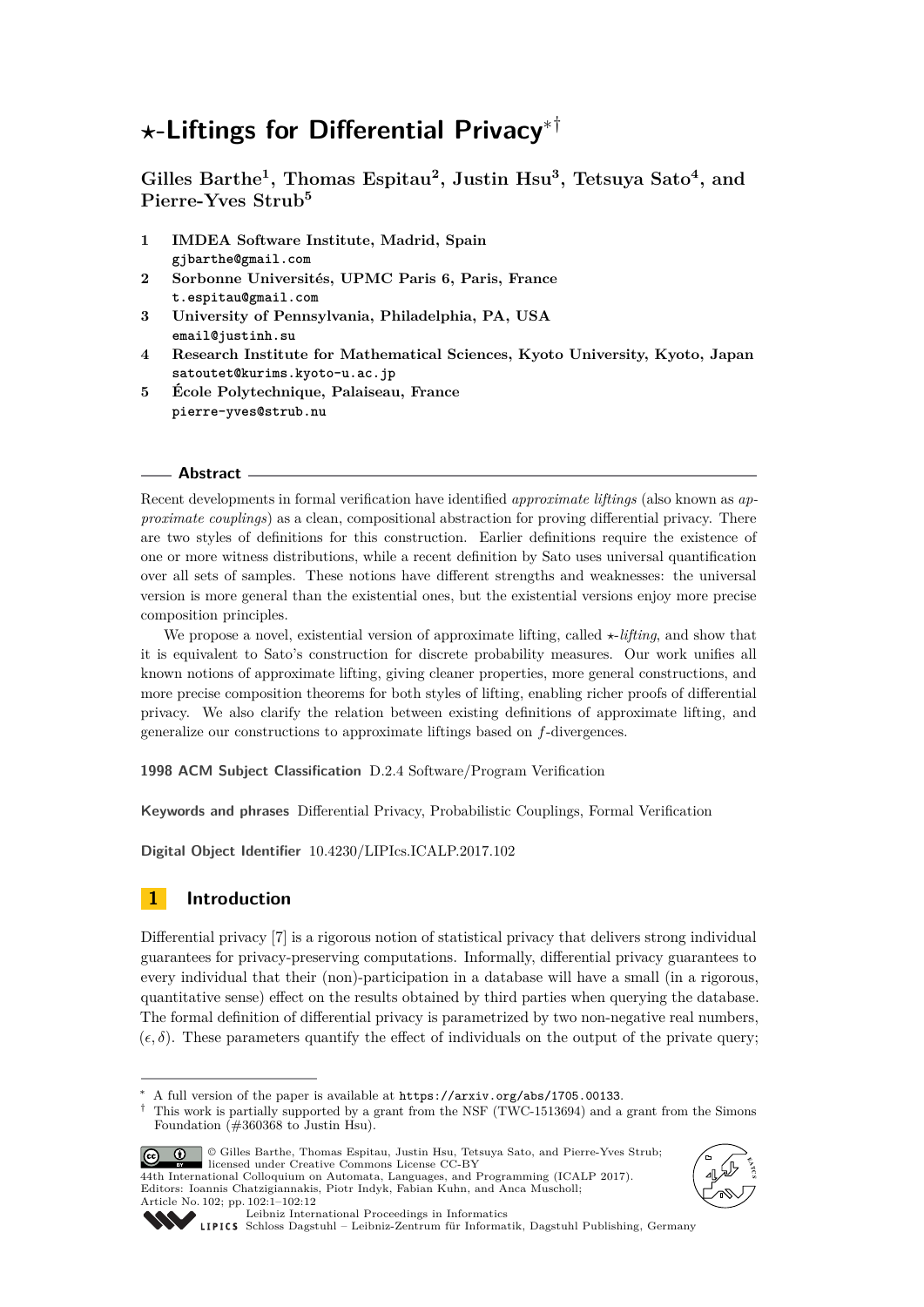# *?***-Liftings for Differential Privacy**∗†

**Gilles Barthe<sup>1</sup> , Thomas Espitau<sup>2</sup> , Justin Hsu<sup>3</sup> , Tetsuya Sato<sup>4</sup> , and Pierre-Yves Strub<sup>5</sup>**

- **1 IMDEA Software Institute, Madrid, Spain gjbarthe@gmail.com**
- **2 Sorbonne Universités, UPMC Paris 6, Paris, France t.espitau@gmail.com**
- **3 University of Pennsylvania, Philadelphia, PA, USA email@justinh.su**
- **4 Research Institute for Mathematical Sciences, Kyoto University, Kyoto, Japan satoutet@kurims.kyoto-u.ac.jp**
- **5 École Polytechnique, Palaiseau, France pierre-yves@strub.nu**

## **Abstract**

Recent developments in formal verification have identified *approximate liftings* (also known as *approximate couplings*) as a clean, compositional abstraction for proving differential privacy. There are two styles of definitions for this construction. Earlier definitions require the existence of one or more witness distributions, while a recent definition by Sato uses universal quantification over all sets of samples. These notions have different strengths and weaknesses: the universal version is more general than the existential ones, but the existential versions enjoy more precise composition principles.

We propose a novel, existential version of approximate lifting, called  $\star$ -*lifting*, and show that it is equivalent to Sato's construction for discrete probability measures. Our work unifies all known notions of approximate lifting, giving cleaner properties, more general constructions, and more precise composition theorems for both styles of lifting, enabling richer proofs of differential privacy. We also clarify the relation between existing definitions of approximate lifting, and generalize our constructions to approximate liftings based on *f*-divergences.

**1998 ACM Subject Classification** D.2.4 Software/Program Verification

**Keywords and phrases** Differential Privacy, Probabilistic Couplings, Formal Verification

**Digital Object Identifier** [10.4230/LIPIcs.ICALP.2017.102](http://dx.doi.org/10.4230/LIPIcs.ICALP.2017.102)

# **1 Introduction**

Differential privacy [\[7\]](#page-11-0) is a rigorous notion of statistical privacy that delivers strong individual guarantees for privacy-preserving computations. Informally, differential privacy guarantees to every individual that their (non)-participation in a database will have a small (in a rigorous, quantitative sense) effect on the results obtained by third parties when querying the database. The formal definition of differential privacy is parametrized by two non-negative real numbers,  $(\epsilon, \delta)$ . These parameters quantify the effect of individuals on the output of the private query;

<sup>©</sup> Gilles Barthe, Thomas Espitau, Justin Hsu, Tetsuya Sato, and Pierre-Yves Strub; <u>ര്ര 0 </u> **1988** Ilicensed under Creative Commons License CC-BY<br>44th International Colloquium on Automata, Languages, and Programming (ICALP 2017). Editors: Ioannis Chatzigiannakis, Piotr Indyk, Fabian Kuhn, and Anca Muscholl; Article No. 102; pp. 102:1–102[:12](#page-11-1)





[Leibniz International Proceedings in Informatics](http://www.dagstuhl.de/lipics/)

A full version of the paper is available at  $https://arxiv.org/abs/1705.00133$ .

<sup>†</sup> This work is partially supported by a grant from the NSF (TWC-1513694) and a grant from the Simons Foundation (#360368 to Justin Hsu).

[Schloss Dagstuhl – Leibniz-Zentrum für Informatik, Dagstuhl Publishing, Germany](http://www.dagstuhl.de)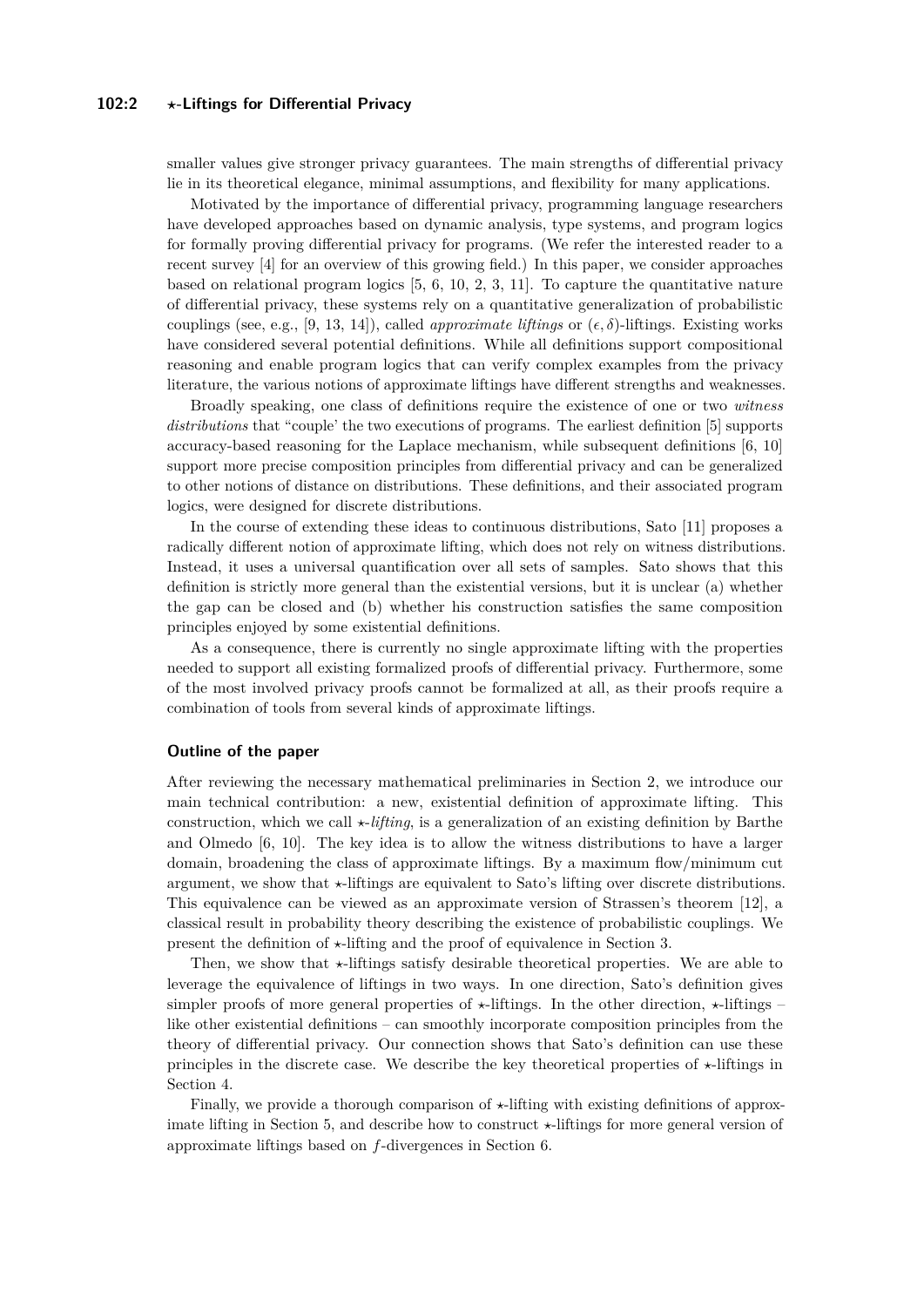## **102:2** *?***-Liftings for Differential Privacy**

smaller values give stronger privacy guarantees. The main strengths of differential privacy lie in its theoretical elegance, minimal assumptions, and flexibility for many applications.

Motivated by the importance of differential privacy, programming language researchers have developed approaches based on dynamic analysis, type systems, and program logics for formally proving differential privacy for programs. (We refer the interested reader to a recent survey [\[4\]](#page-11-2) for an overview of this growing field.) In this paper, we consider approaches based on relational program logics [\[5,](#page-11-3) [6,](#page-11-4) [10,](#page-11-5) [2,](#page-11-6) [3,](#page-11-7) [11\]](#page-11-8). To capture the quantitative nature of differential privacy, these systems rely on a quantitative generalization of probabilistic couplings (see, e.g., [\[9,](#page-11-9) [13,](#page-11-10) [14\]](#page-11-11)), called *approximate liftings* or  $(\epsilon, \delta)$ -liftings. Existing works have considered several potential definitions. While all definitions support compositional reasoning and enable program logics that can verify complex examples from the privacy literature, the various notions of approximate liftings have different strengths and weaknesses.

Broadly speaking, one class of definitions require the existence of one or two *witness distributions* that "couple' the two executions of programs. The earliest definition [\[5\]](#page-11-3) supports accuracy-based reasoning for the Laplace mechanism, while subsequent definitions [\[6,](#page-11-4) [10\]](#page-11-5) support more precise composition principles from differential privacy and can be generalized to other notions of distance on distributions. These definitions, and their associated program logics, were designed for discrete distributions.

In the course of extending these ideas to continuous distributions, Sato [\[11\]](#page-11-8) proposes a radically different notion of approximate lifting, which does not rely on witness distributions. Instead, it uses a universal quantification over all sets of samples. Sato shows that this definition is strictly more general than the existential versions, but it is unclear (a) whether the gap can be closed and (b) whether his construction satisfies the same composition principles enjoyed by some existential definitions.

As a consequence, there is currently no single approximate lifting with the properties needed to support all existing formalized proofs of differential privacy. Furthermore, some of the most involved privacy proofs cannot be formalized at all, as their proofs require a combination of tools from several kinds of approximate liftings.

### **Outline of the paper**

After reviewing the necessary mathematical preliminaries in Section [2,](#page-2-0) we introduce our main technical contribution: a new, existential definition of approximate lifting. This construction, which we call  $\star$ -*lifting*, is a generalization of an existing definition by Barthe and Olmedo [\[6,](#page-11-4) [10\]](#page-11-5). The key idea is to allow the witness distributions to have a larger domain, broadening the class of approximate liftings. By a maximum flow/minimum cut argument, we show that  $\star$ -liftings are equivalent to Sato's lifting over discrete distributions. This equivalence can be viewed as an approximate version of Strassen's theorem [\[12\]](#page-11-12), a classical result in probability theory describing the existence of probabilistic couplings. We present the definition of  $\star$ -lifting and the proof of equivalence in Section [3.](#page-4-0)

Then, we show that  $\star$ -liftings satisfy desirable theoretical properties. We are able to leverage the equivalence of liftings in two ways. In one direction, Sato's definition gives simpler proofs of more general properties of  $\star$ -liftings. In the other direction,  $\star$ -liftings – like other existential definitions – can smoothly incorporate composition principles from the theory of differential privacy. Our connection shows that Sato's definition can use these principles in the discrete case. We describe the key theoretical properties of  $\star$ -liftings in Section [4.](#page-7-0)

Finally, we provide a thorough comparison of  $\star$ -lifting with existing definitions of approx-imate lifting in Section [5,](#page-9-0) and describe how to construct  $\star$ -liftings for more general version of approximate liftings based on *f*-divergences in Section [6.](#page-9-1)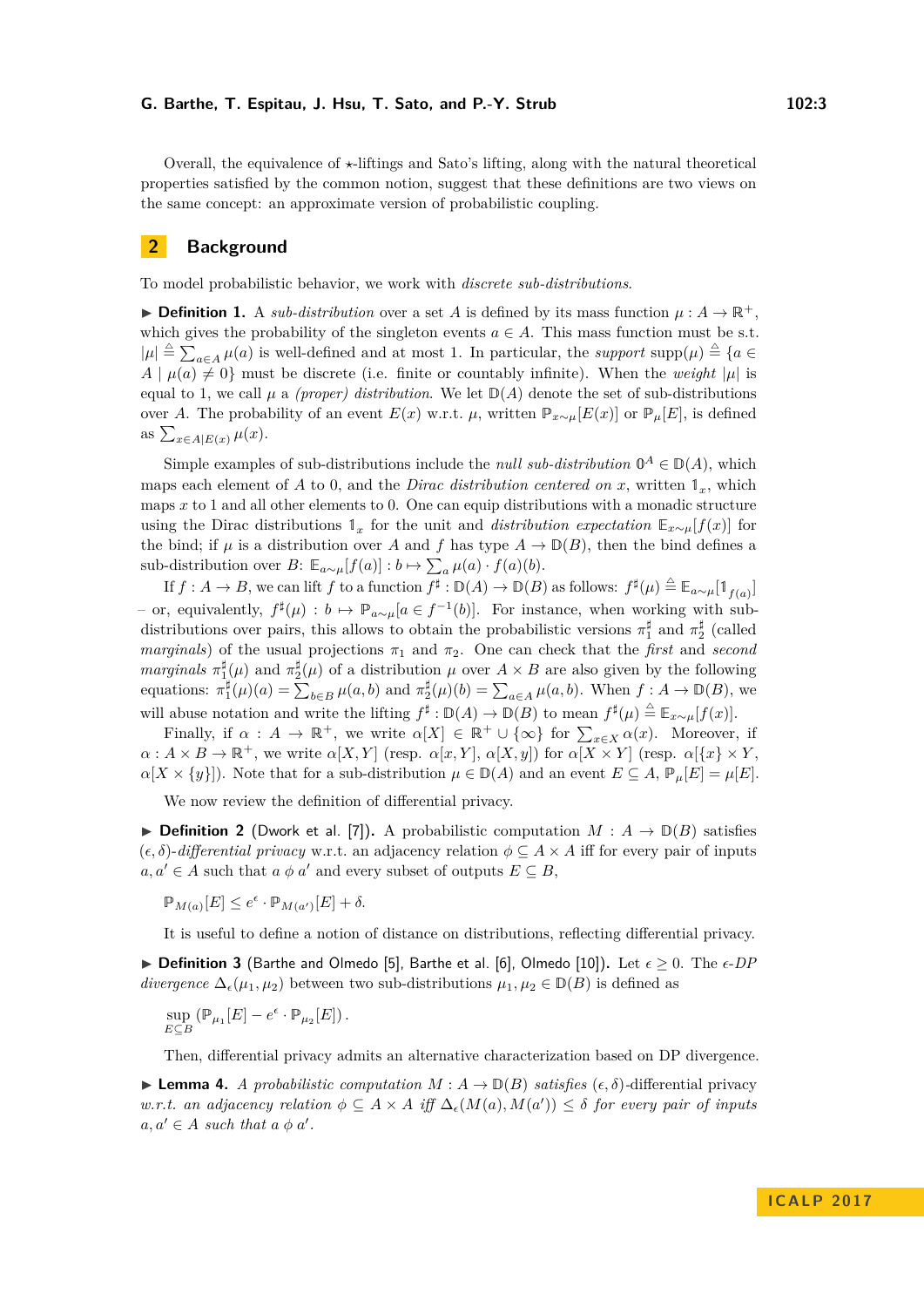Overall, the equivalence of  $\star$ -liftings and Sato's lifting, along with the natural theoretical properties satisfied by the common notion, suggest that these definitions are two views on the same concept: an approximate version of probabilistic coupling.

## <span id="page-2-0"></span>**2 Background**

To model probabilistic behavior, we work with *discrete sub-distributions*.

**Definition 1.** A *sub-distribution* over a set *A* is defined by its mass function  $\mu : A \to \mathbb{R}^+$ . which gives the probability of the singleton events  $a \in A$ . This mass function must be s.t.  $|\mu| \triangleq \sum_{a \in A} \mu(a)$  is well-defined and at most 1. In particular, the *support* supp $(\mu) \triangleq \{a \in A\}$  $A | \mu(a) \neq 0$  must be discrete (i.e. finite or countably infinite). When the *weight* | $\mu$ | is equal to 1, we call  $\mu$  a *(proper) distribution*. We let  $\mathbb{D}(A)$  denote the set of sub-distributions over *A*. The probability of an event  $E(x)$  w.r.t.  $\mu$ , written  $\mathbb{P}_{x\sim\mu}[E(x)]$  or  $\mathbb{P}_{\mu}[E]$ , is defined as  $\sum_{x \in A|E(x)} \mu(x)$ .

Simple examples of sub-distributions include the *null sub-distribution*  $\mathbb{O}^A \in \mathbb{D}(A)$ , which maps each element of *A* to 0, and the *Dirac distribution centered on x*, written  $\mathbb{1}_x$ , which maps *x* to 1 and all other elements to 0. One can equip distributions with a monadic structure using the Dirac distributions  $\mathbb{1}_x$  for the unit and *distribution expectation*  $\mathbb{E}_{x \sim \mu}[f(x)]$  for the bind; if  $\mu$  is a distribution over *A* and *f* has type  $A \to \mathbb{D}(B)$ , then the bind defines a sub-distribution over  $B: \mathbb{E}_{a \sim \mu}[f(a)] : b \mapsto \sum_{a} \mu(a) \cdot f(a)(b)$ .

 $\text{If } f: A \to B, \text{ we can lift } f \text{ to a function } f^{\sharp}: \mathbb{D}(A) \to \mathbb{D}(B) \text{ as follows: } f^{\sharp}(\mu) \stackrel{\triangle}{=} \mathbb{E}_{a \sim \mu}[\mathbb{1}_{f(a)}].$  $-$  or, equivalently,  $f^{\sharp}(\mu) : b \mapsto \mathbb{P}_{a \sim \mu}[a \in f^{-1}(b)].$  For instance, when working with subdistributions over pairs, this allows to obtain the probabilistic versions  $\pi_1^{\sharp}$  and  $\pi_2^{\sharp}$  (called *marginals*) of the usual projections  $\pi_1$  and  $\pi_2$ . One can check that the *first* and *second marginals*  $\pi_1^{\sharp}(\mu)$  and  $\pi_2^{\sharp}(\mu)$  of a distribution  $\mu$  over  $A \times B$  are also given by the following equations:  $\pi_1^{\sharp}(\mu)(a) = \sum_{b \in B} \mu(a, b)$  and  $\pi_2^{\sharp}(\mu)(b) = \sum_{a \in A} \mu(a, b)$ . When  $f : A \to \mathbb{D}(B)$ , we will abuse notation and write the lifting  $f^{\sharp}: \mathbb{D}(A) \to \mathbb{D}(B)$  to mean  $f^{\sharp}(\mu) \triangleq \mathbb{E}_{x \sim \mu}[f(x)].$ 

Finally, if  $\alpha : A \to \mathbb{R}^+$ , we write  $\alpha[X] \in \mathbb{R}^+ \cup \{\infty\}$  for  $\sum_{x \in X} \alpha(x)$ . Moreover, if  $\alpha: A \times B \to \mathbb{R}^+$ , we write  $\alpha[X, Y]$  (resp.  $\alpha[x, Y]$ ,  $\alpha[X, y]$ ) for  $\alpha[X \times Y]$  (resp.  $\alpha[\{x\} \times Y]$ ,  $\alpha[X \times \{y\}]$ . Note that for a sub-distribution  $\mu \in \mathbb{D}(A)$  and an event  $E \subseteq A$ ,  $\mathbb{P}_{\mu}[E] = \mu[E]$ .

We now review the definition of differential privacy.

▶ **Definition 2** (Dwork et al. [\[7\]](#page-11-0)). A probabilistic computation  $M : A \rightarrow \mathbb{D}(B)$  satisfies  $(\epsilon, \delta)$ -*differential privacy* w.r.t. an adjacency relation  $\phi \subseteq A \times A$  iff for every pair of inputs  $a, a' \in A$  such that  $a \phi a'$  and every subset of outputs  $E \subseteq B$ ,

 $\mathbb{P}_{M(a)}[E] \leq e^{\epsilon} \cdot \mathbb{P}_{M(a')}[E] + \delta.$ 

It is useful to define a notion of distance on distributions, reflecting differential privacy.

▶ **Definition 3** (Barthe and Olmedo [\[5\]](#page-11-3), Barthe et al. [\[6\]](#page-11-4), Olmedo [\[10\]](#page-11-5)). Let  $\epsilon \ge 0$ . The  $\epsilon$ -DP *divergence*  $\Delta_{\epsilon}(\mu_1, \mu_2)$  between two sub-distributions  $\mu_1, \mu_2 \in \mathbb{D}(B)$  is defined as

$$
\sup_{E\subseteq B} (\mathbb{P}_{\mu_1}[E]-e^{\epsilon}\cdot \mathbb{P}_{\mu_2}[E])\,.
$$

Then, differential privacy admits an alternative characterization based on DP divergence.

<span id="page-2-1"></span>**► Lemma 4.** *A probabilistic computation*  $M$  :  $A \rightarrow \mathbb{D}(B)$  *satisfies* ( $\epsilon, \delta$ )-differential privacy *w.r.t. an adjacency relation*  $\phi \subseteq A \times A$  *iff*  $\Delta_{\epsilon}(M(a), M(a')) \leq \delta$  *for every pair of inputs*  $a, a' \in A$  *such that*  $a \phi a'.$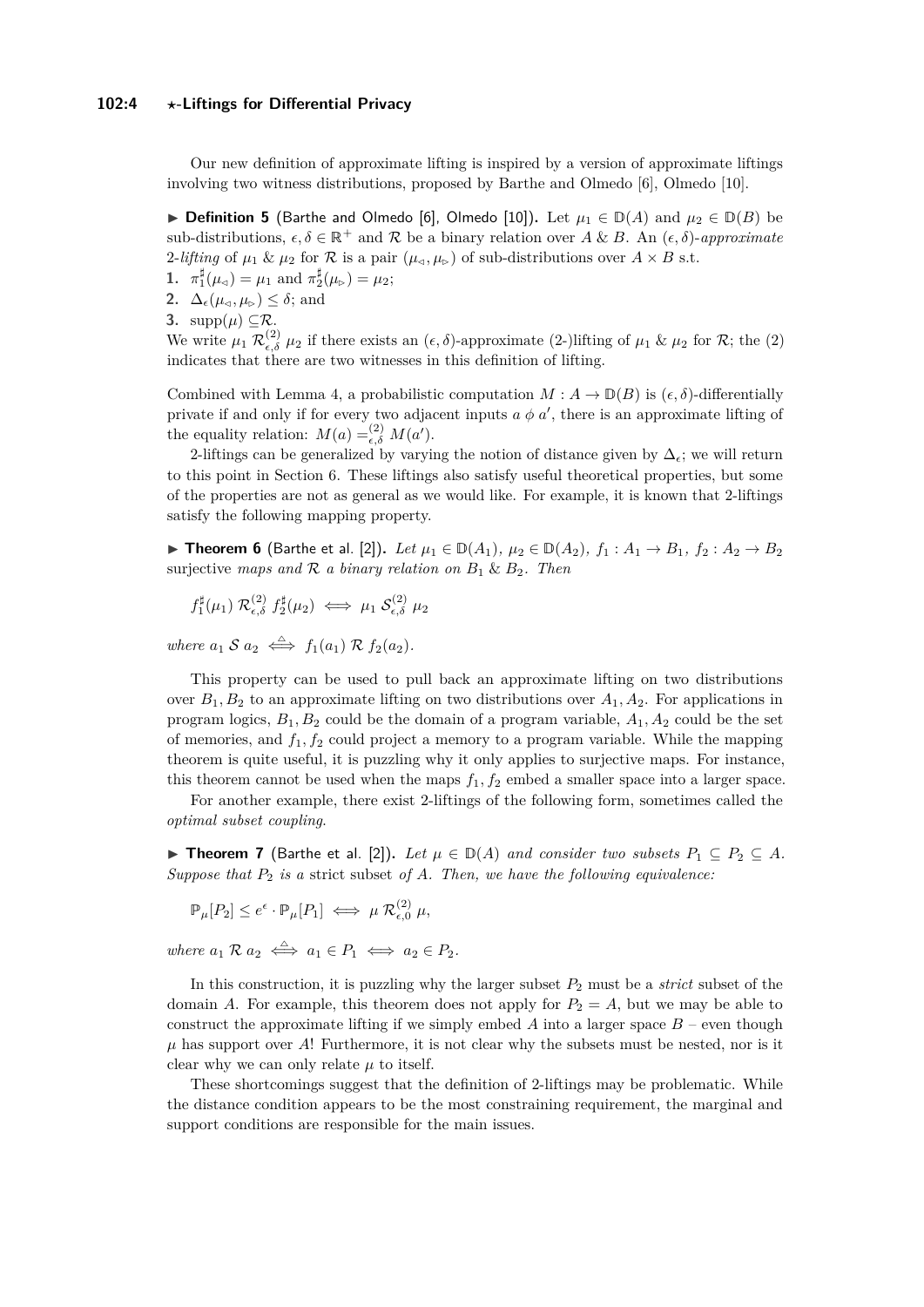#### **102:4** *?***-Liftings for Differential Privacy**

Our new definition of approximate lifting is inspired by a version of approximate liftings involving two witness distributions, proposed by Barthe and Olmedo [\[6\]](#page-11-4), Olmedo [\[10\]](#page-11-5).

<span id="page-3-2"></span>**► Definition 5** (Barthe and Olmedo [\[6\]](#page-11-4), Olmedo [\[10\]](#page-11-5)). Let  $\mu_1 \in \mathbb{D}(A)$  and  $\mu_2 \in \mathbb{D}(B)$  be sub-distributions,  $\epsilon, \delta \in \mathbb{R}^+$  and  $\mathcal R$  be a binary relation over A & B. An  $(\epsilon, \delta)$ -*approximate* 2-*lifting* of  $\mu_1 \& \mu_2$  for  $\mathcal R$  is a pair  $(\mu_{\triangleleft}, \mu_{\triangleright})$  of sub-distributions over  $A \times B$  s.t.

- **1.**  $\pi_1^{\sharp}(\mu_{\leq}) = \mu_1$  and  $\pi_2^{\sharp}(\mu_{\triangleright}) = \mu_2$ ;
- **2.**  $\Delta_{\epsilon}(\mu_{\epsilon}, \mu_{\epsilon}) \leq \delta$ ; and
- **3.**  $\text{supp}(\mu) \subset \mathcal{R}$ .

We write  $\mu_1 \mathcal{R}_{\epsilon,\delta}^{(2)} \mu_2$  if there exists an  $(\epsilon, \delta)$ -approximate (2-)lifting of  $\mu_1 \& \mu_2$  for  $\mathcal{R}$ ; the (2) indicates that there are two witnesses in this definition of lifting.

Combined with Lemma [4,](#page-2-1) a probabilistic computation  $M: A \to \mathbb{D}(B)$  is  $(\epsilon, \delta)$ -differentially private if and only if for every two adjacent inputs  $a \phi a'$ , there is an approximate lifting of the equality relation:  $M(a) =_{\epsilon, \delta}^{(2)} M(a')$ .

2-liftings can be generalized by varying the notion of distance given by  $\Delta_{\epsilon}$ ; we will return to this point in Section [6.](#page-9-1) These liftings also satisfy useful theoretical properties, but some of the properties are not as general as we would like. For example, it is known that 2-liftings satisfy the following mapping property.

<span id="page-3-0"></span>▶ Theorem 6 (Barthe et al. [\[2\]](#page-11-6)). *Let*  $\mu_1 \in \mathbb{D}(A_1)$ ,  $\mu_2 \in \mathbb{D}(A_2)$ ,  $f_1: A_1 \to B_1$ ,  $f_2: A_2 \to B_2$ surjective *maps and*  $\mathcal{R}$  *a binary relation on*  $B_1 \& B_2$ *. Then* 

 $f_1^{\sharp}(\mu_1)$   $\mathcal{R}^{(2)}_{\epsilon,\delta}$   $f_2^{\sharp}(\mu_2) \iff \mu_1 \mathcal{S}^{(2)}_{\epsilon,\delta}$   $\mu_2$ 

*where*  $a_1 S a_2 \iff f_1(a_1) R f_2(a_2)$ *.* 

This property can be used to pull back an approximate lifting on two distributions over  $B_1, B_2$  to an approximate lifting on two distributions over  $A_1, A_2$ . For applications in program logics, *B*1*, B*<sup>2</sup> could be the domain of a program variable, *A*1*, A*<sup>2</sup> could be the set of memories, and  $f_1, f_2$  could project a memory to a program variable. While the mapping theorem is quite useful, it is puzzling why it only applies to surjective maps. For instance, this theorem cannot be used when the maps  $f_1, f_2$  embed a smaller space into a larger space.

For another example, there exist 2-liftings of the following form, sometimes called the *optimal subset coupling*.

<span id="page-3-1"></span>▶ **Theorem 7** (Barthe et al. [\[2\]](#page-11-6)). Let  $\mu \in \mathbb{D}(A)$  and consider two subsets  $P_1 \subseteq P_2 \subseteq A$ . *Suppose that P*<sup>2</sup> *is a* strict subset *of A. Then, we have the following equivalence:*

$$
\mathbb{P}_{\mu}[P_2] \le e^{\epsilon} \cdot \mathbb{P}_{\mu}[P_1] \iff \mu \mathcal{R}^{(2)}_{\epsilon,0} \mu,
$$

 $where \ a_1 \mathcal{R} \ a_2 \iff a_1 \in P_1 \iff a_2 \in P_2.$ 

In this construction, it is puzzling why the larger subset  $P_2$  must be a *strict* subset of the domain *A*. For example, this theorem does not apply for  $P_2 = A$ , but we may be able to construct the approximate lifting if we simply embed  $A$  into a larger space  $B$  – even though  $\mu$  has support over *A*! Furthermore, it is not clear why the subsets must be nested, nor is it clear why we can only relate  $\mu$  to itself.

These shortcomings suggest that the definition of 2-liftings may be problematic. While the distance condition appears to be the most constraining requirement, the marginal and support conditions are responsible for the main issues.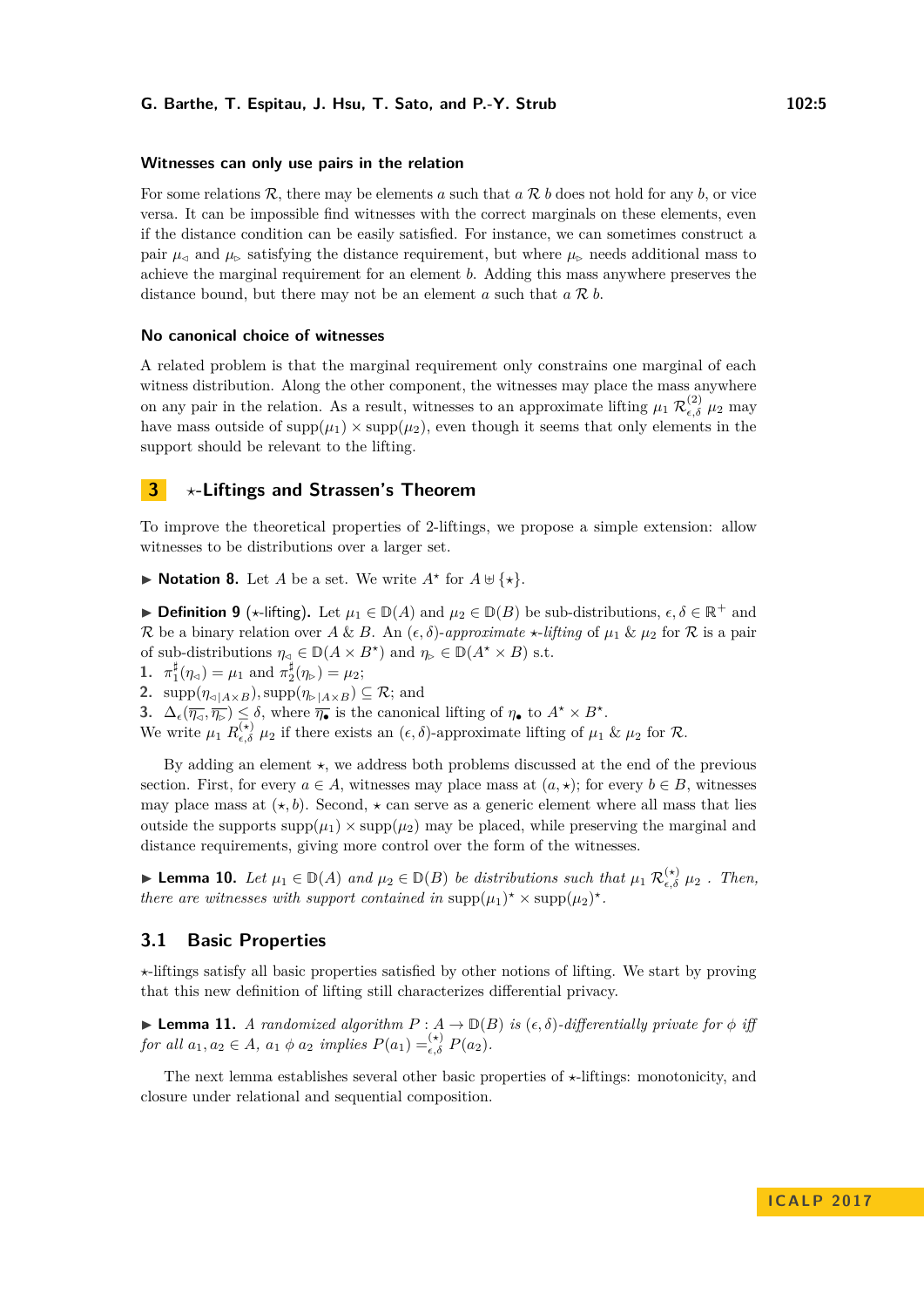#### **Witnesses can only use pairs in the relation**

For some relations R, there may be elements *a* such that *a* R *b* does not hold for any *b*, or vice versa. It can be impossible find witnesses with the correct marginals on these elements, even if the distance condition can be easily satisfied. For instance, we can sometimes construct a pair  $\mu_{\alpha}$  and  $\mu_{\beta}$  satisfying the distance requirement, but where  $\mu_{\beta}$  needs additional mass to achieve the marginal requirement for an element *b*. Adding this mass anywhere preserves the distance bound, but there may not be an element *a* such that *a* R *b*.

## **No canonical choice of witnesses**

A related problem is that the marginal requirement only constrains one marginal of each witness distribution. Along the other component, the witnesses may place the mass anywhere on any pair in the relation. As a result, witnesses to an approximate lifting  $\mu_1 \mathcal{R}_{\epsilon,\delta}^{(2)} \mu_2$  may have mass outside of  $\text{supp}(\mu_1) \times \text{supp}(\mu_2)$ , even though it seems that only elements in the support should be relevant to the lifting.

## <span id="page-4-0"></span>**3** *?***-Liftings and Strassen's Theorem**

To improve the theoretical properties of 2-liftings, we propose a simple extension: allow witnesses to be distributions over a larger set.

 $\blacktriangleright$  **Notation 8.** Let *A* be a set. We write  $A^*$  for  $A \uplus {\star}$ .

**▶ Definition 9** ( $\star$ -lifting). Let  $\mu_1 \in \mathbb{D}(A)$  and  $\mu_2 \in \mathbb{D}(B)$  be sub-distributions,  $\epsilon, \delta \in \mathbb{R}^+$  and  $\mathcal{R}$  be a binary relation over  $A \& B$ . An  $(\epsilon, \delta)$ -*approximate*  $\star$ -*lifting* of  $\mu_1 \& \mu_2$  for  $\mathcal{R}$  is a pair of sub-distributions  $\eta_{\leq} \in D(A \times B^*)$  and  $\eta_{\geq} \in D(A^* \times B)$  s.t.

**1.**  $\pi_1^{\sharp}(\eta_{\leq}) = \mu_1$  and  $\pi_2^{\sharp}(\eta_{\triangleright}) = \mu_2$ ;

**2.** supp $(\eta_{\text{a}|A\times B})$ , supp $(\eta_{\text{b}|A\times B}) \subseteq \mathcal{R}$ ; and

**3.**  $\Delta_{\epsilon}(\overline{\eta_{\alpha}}, \overline{\eta_{\triangleright}}) \leq \delta$ , where  $\overline{\eta_{\bullet}}$  is the canonical lifting of  $\eta_{\bullet}$  to  $A^* \times B^*$ .

We write  $\mu_1$   $R_{\epsilon,\delta}^{(\star)}$   $\mu_2$  if there exists an  $(\epsilon,\delta)$ -approximate lifting of  $\mu_1$  &  $\mu_2$  for R.

By adding an element  $\star$ , we address both problems discussed at the end of the previous section. First, for every  $a \in A$ , witnesses may place mass at  $(a, \star)$ ; for every  $b \in B$ , witnesses may place mass at  $(\star, b)$ . Second,  $\star$  can serve as a generic element where all mass that lies outside the supports  $\text{supp}(\mu_1) \times \text{supp}(\mu_2)$  may be placed, while preserving the marginal and distance requirements, giving more control over the form of the witnesses.

<span id="page-4-1"></span>▶ **Lemma 10.** *Let*  $\mu_1 \in D(A)$  *and*  $\mu_2 \in D(B)$  *be distributions such that*  $\mu_1 \mathcal{R}_{\epsilon,\delta}^{(\star)} \mu_2$  *. Then, there are witnesses with support contained in*  $\text{supp}(\mu_1)^* \times \text{supp}(\mu_2)^*$ .

## **3.1 Basic Properties**

*?*-liftings satisfy all basic properties satisfied by other notions of lifting. We start by proving that this new definition of lifting still characterizes differential privacy.

**Lemma 11.** *A randomized algorithm*  $P: A \to \mathbb{D}(B)$  *is*  $(\epsilon, \delta)$ *-differentially private for*  $\phi$  *iff for all*  $a_1, a_2 \in A$ ,  $a_1 \phi a_2$  *implies*  $P(a_1) = \epsilon_0^{(*)} P(a_2)$ .

The next lemma establishes several other basic properties of  $\star$ -liftings: monotonicity, and closure under relational and sequential composition.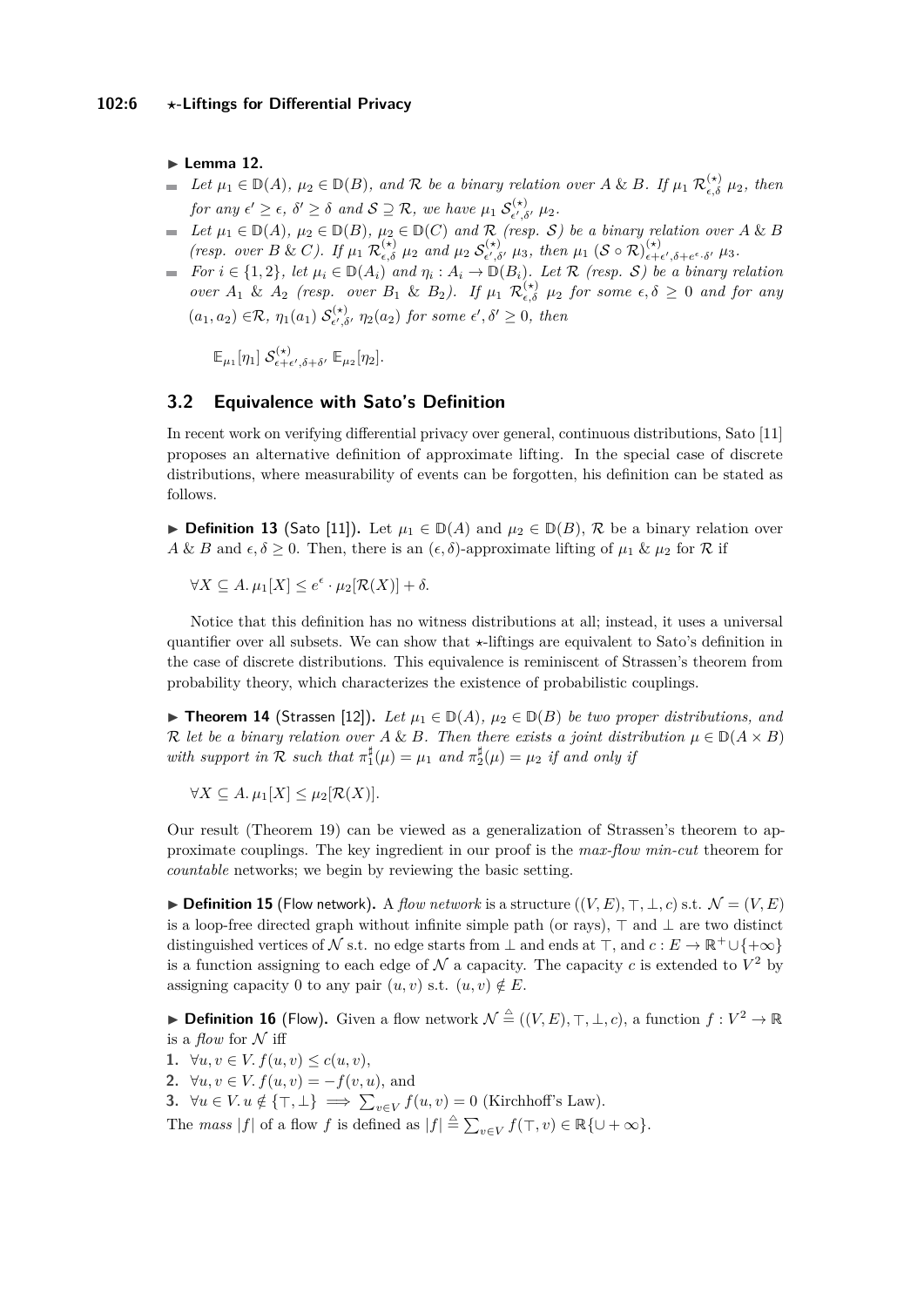$\blacktriangleright$  Lemma 12.

- *Let*  $\mu_1 \in \mathbb{D}(A)$ ,  $\mu_2 \in \mathbb{D}(B)$ , and R be a binary relation over A & B. If  $\mu_1 \mathcal{R}_{\epsilon,\delta}^{(\star)} \mu_2$ , then  $\overline{\phantom{a}}$ *for any*  $\epsilon' \geq \epsilon$ ,  $\delta' \geq \delta$  *and*  $S \supseteq R$ , we have  $\mu_1$   $S_{\epsilon', \epsilon'}^{(*)}$  $\mu_{\epsilon',\delta'}^{(\star)}$   $\mu_2$ .
- $L$ *Let*  $\mu_1 \in \mathbb{D}(A)$ *,*  $\mu_2 \in \mathbb{D}(B)$ *,*  $\mu_2 \in \mathbb{D}(C)$  and  $\mathcal{R}$  *(resp. S*) be a binary relation over *A* & *B (resp. over B & C).* If  $\mu_1 \mathcal{R}_{\epsilon,\delta}^{(\star)} \mu_2$  and  $\mu_2 \mathcal{S}_{\epsilon',\delta}^{(\star)}$  $\mu_{{\epsilon}',{\delta}'}^{(\star)}$   $\mu_3$ , then  $\mu_1$  (S  $\circ$  R) $_{\epsilon+}^{(\star)}$  $\epsilon + \epsilon', \delta + e^{\epsilon} \cdot \delta' \mu_3$ .
- *For*  $i \in \{1,2\}$ , let  $\mu_i \in D(A_i)$  and  $\eta_i : A_i \to D(B_i)$ . Let R (resp. S) be a binary relation *over*  $A_1$  &  $A_2$  (resp. over  $B_1$  &  $B_2$ ). If  $\mu_1$   $\mathcal{R}_{\epsilon,\delta}^{(\star)}$   $\mu_2$  for some  $\epsilon,\delta \geq 0$  and for any  $(a_1, a_2) \in \mathcal{R}, \eta_1(a_1) \mathcal{S}_{\epsilon', \delta}^{(*)}$  $\int_{\epsilon',\delta'}^{(\star)} \eta_2(a_2)$  *for some*  $\epsilon',\delta' \geq 0$ *, then*

 $\mathbb{E}_{\mu_1}[\eta_1]~\mathcal{S}^{(\star)}_{\epsilon+\epsilon}$  $\mathbb{E}_{\epsilon+\epsilon',\delta+\delta'}$   $\mathbb{E}_{\mu_2}[\eta_2]$ .

## **3.2 Equivalence with Sato's Definition**

In recent work on verifying differential privacy over general, continuous distributions, Sato [\[11\]](#page-11-8) proposes an alternative definition of approximate lifting. In the special case of discrete distributions, where measurability of events can be forgotten, his definition can be stated as follows.

**► Definition 13** (Sato [\[11\]](#page-11-8)). Let  $\mu_1 \in \mathbb{D}(A)$  and  $\mu_2 \in \mathbb{D}(B)$ , R be a binary relation over *A* & *B* and  $\epsilon, \delta \geq 0$ . Then, there is an  $(\epsilon, \delta)$ -approximate lifting of  $\mu_1$  &  $\mu_2$  for R if

 $\forall X \subseteq A$ .  $\mu_1[X] \leq e^{\epsilon} \cdot \mu_2[\mathcal{R}(X)] + \delta$ .

Notice that this definition has no witness distributions at all; instead, it uses a universal quantifier over all subsets. We can show that  $\star$ -liftings are equivalent to Sato's definition in the case of discrete distributions. This equivalence is reminiscent of Strassen's theorem from probability theory, which characterizes the existence of probabilistic couplings.

▶ **Theorem 14** (Strassen [\[12\]](#page-11-12)). Let  $\mu_1 \in D(A)$ ,  $\mu_2 \in D(B)$  be two proper distributions, and R let be a binary relation over  $A \& B$ . Then there exists a joint distribution  $\mu \in D(A \times B)$ *with support in*  $\mathcal{R}$  *such that*  $\pi_1^{\sharp}(\mu) = \mu_1$  *and*  $\pi_2^{\sharp}(\mu) = \mu_2$  *if and only if* 

 $\forall X \subseteq A$ .  $\mu_1[X] \leq \mu_2[\mathcal{R}(X)]$ .

Our result (Theorem [19\)](#page-6-0) can be viewed as a generalization of Strassen's theorem to approximate couplings. The key ingredient in our proof is the *max-flow min-cut* theorem for *countable* networks; we begin by reviewing the basic setting.

▶ **Definition 15** (Flow network). A *flow network* is a structure  $((V, E), \top, \bot, c)$  s.t.  $\mathcal{N} = (V, E)$ is a loop-free directed graph without infinite simple path (or rays),  $\top$  and  $\bot$  are two distinct distinguished vertices of N s.t. no edge starts from  $\perp$  and ends at  $\top$ , and  $c : E \to \mathbb{R}^+ \cup {\to \infty}$ is a function assigning to each edge of  $N$  a capacity. The capacity  $c$  is extended to  $V^2$  by assigning capacity 0 to any pair  $(u, v)$  s.t.  $(u, v) \notin E$ .

▶ **Definition 16** (Flow). Given a flow network  $\mathcal{N} \triangleq ((V, E), \top, \bot, c)$ , a function  $f: V^2 \to \mathbb{R}$ is a *flow* for  $N$  iff

- **1.** ∀*u*, *v* ∈ *V*.  $f(u, v) \le c(u, v)$ ,
- **2.** ∀*u*, *v* ∈ *V*.  $f(u, v) = -f(v, u)$ , and
- **3.**  $\forall u \in V. u \notin \{\top, \bot\} \implies \sum_{v \in V} f(u, v) = 0$  (Kirchhoff's Law).

The *mass*  $|f|$  of a flow *f* is defined as  $|f| \stackrel{\Delta}{=} \sum_{v \in V} f(\top, v) \in \mathbb{R} \{ \cup +\infty \}.$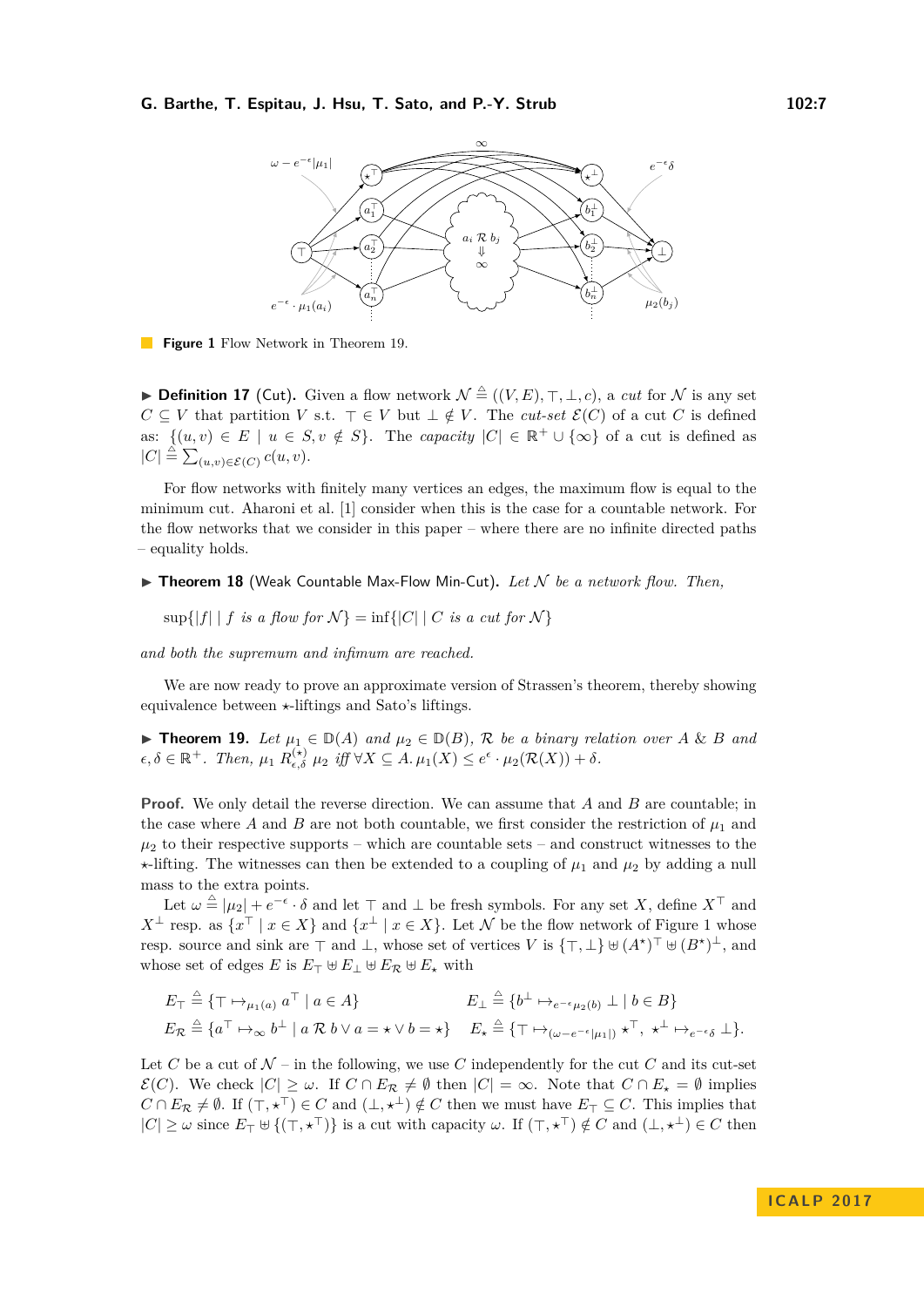<span id="page-6-1"></span>

**Figure 1** Flow Network in Theorem [19.](#page-6-0)

▶ **Definition 17** (Cut). Given a flow network  $\mathcal{N} \triangleq ((V, E), \top, \bot, c)$ , a *cut* for  $\mathcal N$  is any set *C* ⊆ *V* that partition *V* s.t.  $\top$  ∈ *V* but  $\bot \notin V$ . The *cut-set*  $\mathcal{E}(C)$  of a cut *C* is defined as:  $\{(u, v) \in E \mid u \in S, v \notin S\}$ . The *capacity*  $|C| \in \mathbb{R}^+ \cup \{\infty\}$  of a cut is defined as  $|C| \triangleq \sum_{(u,v)\in \mathcal{E}(C)} c(u,v).$ 

For flow networks with finitely many vertices an edges, the maximum flow is equal to the minimum cut. Aharoni et al. [\[1\]](#page-11-13) consider when this is the case for a countable network. For the flow networks that we consider in this paper – where there are no infinite directed paths – equality holds.

<span id="page-6-2"></span> $\triangleright$  **Theorem 18** (Weak Countable Max-Flow Min-Cut). Let N be a network flow. Then,

 $\sup\{|f| \mid f \text{ is a flow for } \mathcal{N}\} = \inf\{|C| \mid C \text{ is a cut for } \mathcal{N}\}\$ 

*and both the supremum and infimum are reached.*

We are now ready to prove an approximate version of Strassen's theorem, thereby showing equivalence between  $\star$ -liftings and Sato's liftings.

<span id="page-6-0"></span>▶ **Theorem 19.** Let  $\mu_1 \in \mathbb{D}(A)$  and  $\mu_2 \in \mathbb{D}(B)$ , R be a binary relation over A & B and  $\epsilon, \delta \in \mathbb{R}^+$ *. Then,*  $\mu_1 R_{\epsilon, \delta}^{(*)} \mu_2 \text{ iff } \forall X \subseteq A$ .  $\mu_1(X) \leq e^{\epsilon} \cdot \mu_2(\mathcal{R}(X)) + \delta$ .

**Proof.** We only detail the reverse direction. We can assume that *A* and *B* are countable; in the case where *A* and *B* are not both countable, we first consider the restriction of  $\mu_1$  and  $\mu_2$  to their respective supports – which are countable sets – and construct witnesses to the  $\star$ -lifting. The witnesses can then be extended to a coupling of  $\mu_1$  and  $\mu_2$  by adding a null mass to the extra points.

Let  $\omega \triangleq |\mu_2| + e^{-\epsilon} \cdot \delta$  and let  $\top$  and  $\bot$  be fresh symbols. For any set *X*, define  $X^{\top}$  and *X*<sup>⊥</sup> resp. as  $\{x^{\top} \mid x \in X\}$  and  $\{x^{\perp} \mid x \in X\}$ . Let N be the flow network of Figure [1](#page-6-1) whose resp. source and sink are  $\top$  and  $\bot$ , whose set of vertices *V* is  $\{\top, \bot\} \cup (A^{\star})^{\top} \cup (B^{\star})^{\bot}$ , and whose set of edges *E* is  $E_{\top} \oplus E_{\bot} \oplus E_{\mathcal{R}} \oplus E_{\star}$  with

$$
E_{\top} \triangleq \{ \top \mapsto_{\mu_1(a)} a^{\top} \mid a \in A \} \qquad E_{\bot} \triangleq \{ b^{\bot} \mapsto_{e^{-\epsilon} \mu_2(b)}} \bot \mid b \in B \}
$$
  

$$
E_{\mathcal{R}} \triangleq \{ a^{\top} \mapsto_{\infty} b^{\bot} \mid a \mathcal{R} b \lor a = \star \lor b = \star \} \qquad E_{\star} \triangleq \{ \top \mapsto_{(\omega - e^{-\epsilon}|\mu_1|)} \star^{\top}, \star^{\bot} \mapsto_{e^{-\epsilon} \delta} \bot \}.
$$

Let C be a cut of  $\mathcal{N}$  – in the following, we use C independently for the cut C and its cut-set  $\mathcal{E}(C)$ . We check  $|C| \geq \omega$ . If  $C \cap E_{\mathcal{R}} \neq \emptyset$  then  $|C| = \infty$ . Note that  $C \cap E_{\star} = \emptyset$  implies  $C \cap E_{\mathcal{R}} \neq \emptyset$ . If  $(\top, \star^{\top}) \in C$  and  $(\bot, \star^{\bot}) \notin C$  then we must have  $E_{\top} \subseteq C$ . This implies that  $|C| \geq \omega$  since  $E_{\top} \cup \{(\top, \star^{\top})\}$  is a cut with capacity  $\omega$ . If  $(\top, \star^{\top}) \notin C$  and  $(\bot, \star^{\bot}) \in C$  then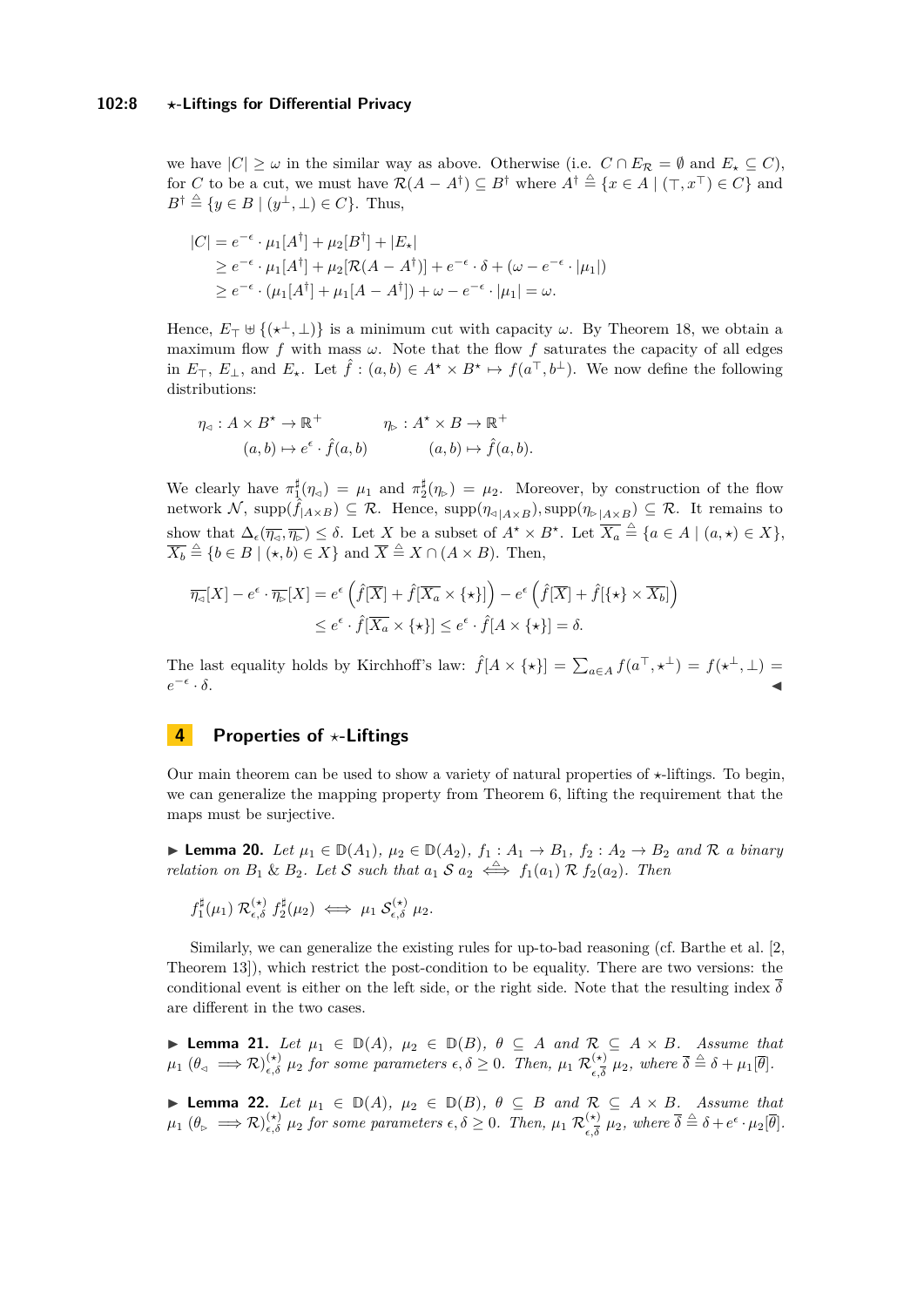we have  $|C| \geq \omega$  in the similar way as above. Otherwise (i.e.  $C \cap E_{\mathcal{R}} = \emptyset$  and  $E_{\star} \subseteq C$ ), for *C* to be a cut, we must have  $\mathcal{R}(A - A^{\dagger}) \subseteq B^{\dagger}$  where  $A^{\dagger} \triangleq \{x \in A \mid (\top, x^{\top}) \in C\}$  and  $B^{\dagger} \triangleq \{y \in B \mid (y^{\perp}, \perp) \in C\}.$  Thus,

$$
|C| = e^{-\epsilon} \cdot \mu_1[A^{\dagger}] + \mu_2[B^{\dagger}] + |E_{\star}|
$$
  
\n
$$
\geq e^{-\epsilon} \cdot \mu_1[A^{\dagger}] + \mu_2[\mathcal{R}(A - A^{\dagger})] + e^{-\epsilon} \cdot \delta + (\omega - e^{-\epsilon} \cdot |\mu_1|)
$$
  
\n
$$
\geq e^{-\epsilon} \cdot (\mu_1[A^{\dagger}] + \mu_1[A - A^{\dagger}]) + \omega - e^{-\epsilon} \cdot |\mu_1| = \omega.
$$

Hence,  $E_{\top} \uplus \{(\star^{\perp}, \perp)\}\$ is a minimum cut with capacity  $\omega$ . By Theorem [18,](#page-6-2) we obtain a maximum flow f with mass  $\omega$ . Note that the flow f saturates the capacity of all edges in  $E_{\top}$ ,  $E_{\perp}$ , and  $E_{\star}$ . Let  $\hat{f}$  :  $(a,b) \in A^{\star} \times B^{\star} \mapsto f(a^{\top}, b^{\perp})$ . We now define the following distributions:

$$
\eta_{\lhd}: A \times B^{\star} \to \mathbb{R}^{+} \qquad \eta_{\rhd}: A^{\star} \times B \to \mathbb{R}^{+}
$$

$$
(a, b) \mapsto e^{\epsilon} \cdot \hat{f}(a, b) \qquad (a, b) \mapsto \hat{f}(a, b).
$$

We clearly have  $\pi_1^{\sharp}(\eta_{\alpha}) = \mu_1$  and  $\pi_2^{\sharp}(\eta_{\triangleright}) = \mu_2$ . Moreover, by construction of the flow network  $\mathcal{N}$ , supp $(\hat{f}_{|A\times B}) \subseteq \mathcal{R}$ . Hence, supp $(\eta_{\triangle | A\times B})$ , supp $(\eta_{\triangleright | A\times B}) \subseteq \mathcal{R}$ . It remains to show that  $\Delta_{\epsilon}(\overline{\eta_{\varsigma}}, \overline{\eta_{\triangleright}}) \leq \delta$ . Let *X* be a subset of  $A^* \times B^*$ . Let  $\overline{X_a} \stackrel{\triangle}{=} \{a \in A \mid (a, \star) \in X\},$  $\overline{X_b} \triangleq \{b \in B \mid (\star, b) \in X\}$  and  $\overline{X} \triangleq X \cap (A \times B)$ . Then,

$$
\overline{\eta_{\triangleleft}}[X] - e^{\epsilon} \cdot \overline{\eta_{\triangleright}}[X] = e^{\epsilon} \left( \hat{f}[\overline{X}] + \hat{f}[\overline{X_a} \times \{ \star \}] \right) - e^{\epsilon} \left( \hat{f}[\overline{X}] + \hat{f}[\{ \star \} \times \overline{X_b}] \right) \leq e^{\epsilon} \cdot \hat{f}[\overline{X_a} \times \{ \star \}] \leq e^{\epsilon} \cdot \hat{f}[A \times \{ \star \}] = \delta.
$$

The last equality holds by Kirchhoff's law:  $\hat{f}[A \times \{ \star \}] = \sum_{a \in A} f(a^{\top}, \star^{\perp}) = f(\star^{\perp}, \perp) =$  $e^{-\epsilon}$  $\cdot \delta$ .

## <span id="page-7-0"></span>**4 Properties of** *?***-Liftings**

Our main theorem can be used to show a variety of natural properties of  $\star$ -liftings. To begin, we can generalize the mapping property from Theorem [6,](#page-3-0) lifting the requirement that the maps must be surjective.

<span id="page-7-1"></span>► **Lemma 20.** *Let*  $\mu_1 \in \mathbb{D}(A_1)$ ,  $\mu_2 \in \mathbb{D}(A_2)$ ,  $f_1: A_1 \to B_1$ ,  $f_2: A_2 \to B_2$  and R a binary *relation on*  $B_1 \& B_2$ *. Let* S *such that*  $a_1 S a_2 \iff f_1(a_1) R f_2(a_2)$ *. Then* 

$$
f_1^{\sharp}(\mu_1) \mathcal{R}_{\epsilon,\delta}^{(\star)} f_2^{\sharp}(\mu_2) \iff \mu_1 \mathcal{S}_{\epsilon,\delta}^{(\star)} \mu_2.
$$

Similarly, we can generalize the existing rules for up-to-bad reasoning (cf. Barthe et al. [\[2,](#page-11-6) Theorem 13]), which restrict the post-condition to be equality. There are two versions: the conditional event is either on the left side, or the right side. Note that the resulting index  $\delta$ are different in the two cases.

**► Lemma 21.** *Let*  $\mu_1 \in D(A)$ ,  $\mu_2 \in D(B)$ ,  $\theta \subseteq A$  and  $\mathcal{R} \subseteq A \times B$ . Assume that  $\mu_1$  ( $\theta_{\lhd} \implies \mathcal{R}$ ) $_{\epsilon,\delta}^{(\star)}$   $\mu_2$  for some parameters  $\epsilon,\delta \geq 0$ . Then,  $\mu_1$   $\mathcal{R}^{(\star)}_{\epsilon,\overline{\delta}}$  $\frac{d^{\times}(\ast)}{\epsilon,\overline{\delta}}$   $\mu_2$ , where  $\overline{\delta} \stackrel{\triangle}{=} \delta + \mu_1[\overline{\theta}]$ .

**► Lemma 22.** Let  $\mu_1 \in D(A)$ ,  $\mu_2 \in D(B)$ ,  $\theta \subseteq B$  and  $\mathcal{R} \subseteq A \times B$ . Assume that  $\mu_1$  ( $\theta_{\triangleright} \implies \mathcal{R}$ ) $_{\epsilon,\delta}^{(\star)}$   $\mu_2$  for some parameters  $\epsilon,\delta \geq 0$ . Then,  $\mu_1$   $\mathcal{R}^{(\star)}_{\epsilon,\delta}$  $\frac{(\star)}{\epsilon,\overline{\delta}}$   $\mu_2$ , where  $\overline{\delta} \stackrel{\triangle}{=} \delta + e^{\epsilon} \cdot \mu_2[\overline{\theta}]$ .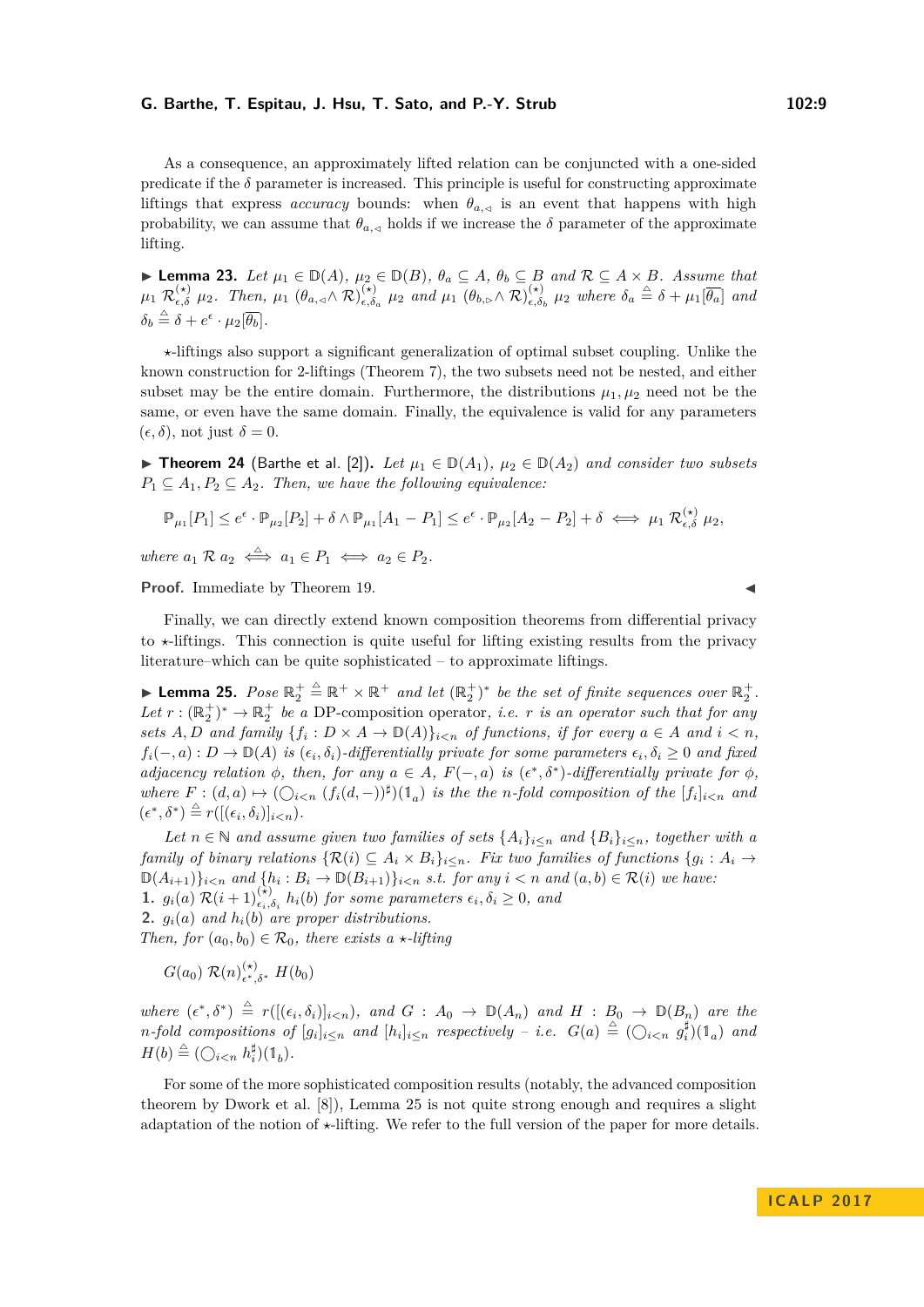As a consequence, an approximately lifted relation can be conjuncted with a one-sided predicate if the  $\delta$  parameter is increased. This principle is useful for constructing approximate liftings that express *accuracy* bounds: when  $\theta_{a,\leq}$  is an event that happens with high probability, we can assume that  $\theta_{a,\lhd}$  holds if we increase the  $\delta$  parameter of the approximate lifting.

► **Lemma 23.** *Let*  $\mu_1 \in \mathbb{D}(A)$ *,*  $\mu_2 \in \mathbb{D}(B)$ *,*  $\theta_a \subseteq A$ *,*  $\theta_b \subseteq B$  *and*  $\mathcal{R} \subseteq A \times B$ *. Assume that*  $\mu_1$   $\mathcal{R}_{\epsilon,\delta}^{(\star)}$   $\mu_2$ *. Then,*  $\mu_1$   $(\theta_{a,\triangleleft} \wedge \mathcal{R})_{\epsilon,\delta}^{(\star)}$  $\left(\begin{array}{c} \n\star \\ \n\epsilon, \delta_a \n\end{array}\right)$  *µ*<sub>2</sub> *and µ*<sub>1</sub>  $\left(\theta_{b,\triangleright} \wedge \mathcal{R}\right)_{\epsilon,\delta}^{(\star)}$  $\left(\frac{\star}{\epsilon,\delta_b} \mu_2 \text{ where } \delta_a \stackrel{\triangle}{=} \delta + \mu_1[\overline{\theta_a}] \text{ and }$  $\delta_b \stackrel{\triangle}{=} \delta + e^{\epsilon} \cdot \mu_2[\overline{\theta_b}].$ 

*?*-liftings also support a significant generalization of optimal subset coupling. Unlike the known construction for 2-liftings (Theorem [7\)](#page-3-1), the two subsets need not be nested, and either subset may be the entire domain. Furthermore, the distributions  $\mu_1, \mu_2$  need not be the same, or even have the same domain. Finally, the equivalence is valid for any parameters  $(\epsilon, \delta)$ , not just  $\delta = 0$ .

<span id="page-8-1"></span>▶ **Theorem 24** (Barthe et al. [\[2\]](#page-11-6)). Let  $\mu_1 \in D(A_1)$ ,  $\mu_2 \in D(A_2)$  and consider two subsets  $P_1 \subseteq A_1, P_2 \subseteq A_2$ . Then, we have the following equivalence:

$$
\mathbb{P}_{\mu_1}[P_1] \leq e^{\epsilon} \cdot \mathbb{P}_{\mu_2}[P_2] + \delta \wedge \mathbb{P}_{\mu_1}[A_1 - P_1] \leq e^{\epsilon} \cdot \mathbb{P}_{\mu_2}[A_2 - P_2] + \delta \iff \mu_1 \mathcal{R}_{\epsilon, \delta}^{(\star)} \mu_2,
$$

 $where \ a_1 \mathcal{R} \ a_2 \iff a_1 \in P_1 \iff a_2 \in P_2.$ 

**Proof.** Immediate by Theorem [19.](#page-6-0)

Finally, we can directly extend known composition theorems from differential privacy to  $\star$ -liftings. This connection is quite useful for lifting existing results from the privacy literature–which can be quite sophisticated – to approximate liftings.

<span id="page-8-0"></span>► Lemma 25. *Pose*  $\mathbb{R}_2^+ \triangleq \mathbb{R}^+ \times \mathbb{R}^+$  *and let*  $(\mathbb{R}_2^+)^*$  *be the set of finite sequences over*  $\mathbb{R}_2^+$ *.* Let  $r : (\mathbb{R}_2^+)^* \to \mathbb{R}_2^+$  be a DP-composition operator, *i.e. r is an operator such that for any sets*  $A, D$  *and family*  $\{f_i : D \times A \to \mathbb{D}(A)\}_{i \leq n}$  *of functions, if for every*  $a \in A$  *and*  $i \leq n$ *,*  $f_i(-,a): D \to \mathbb{D}(A)$  *is*  $(\epsilon_i, \delta_i)$ *-differentially private for some parameters*  $\epsilon_i, \delta_i \geq 0$  *and fixed adjacency relation*  $\phi$ *, then, for any*  $a \in A$ *,*  $F(-,a)$  *is*  $(\epsilon^*, \delta^*)$ *-differentially private for*  $\phi$ *, where*  $F : (d, a) \mapsto (\bigcirc_{i \leq n} (f_i(d, -))^{\sharp})(1_a)$  *is the the n*-fold composition of the  $[f_i]_{i \leq n}$  and  $(\epsilon^*, \delta^*) \stackrel{\triangle}{=} r([(\epsilon_i, \delta_i)]_{i < n}).$ 

*Let*  $n \in \mathbb{N}$  and assume given two families of sets  $\{A_i\}_{i \leq n}$  and  $\{B_i\}_{i \leq n}$ , together with a *family of binary relations*  $\{\mathcal{R}(i) \subseteq A_i \times B_i\}_{i \leq n}$ *. Fix two families of functions*  $\{g_i : A_i \to A_j\}$  $\mathbb{D}(A_{i+1})\}_{i\leq n}$  and  $\{h_i : B_i \to \mathbb{D}(B_{i+1})\}_{i\leq n}$  *s.t. for any*  $i < n$  and  $(a, b) \in \mathcal{R}(i)$  we have: **1.**  $g_i(a) \mathcal{R}(i+1)_{\epsilon_i,\delta_i}^{(\star)} h_i(b)$  for some parameters  $\epsilon_i, \delta_i \geq 0$ , and

**2.**  $g_i(a)$  and  $h_i(b)$  are proper distributions.

*Then, for*  $(a_0, b_0) \in \mathcal{R}_0$ *, there exists a \*-lifting* 

 $G(a_0) \mathcal{R}(n)_{\epsilon^*}^{(\star)}$  $\binom{(\star)}{\epsilon^*,\delta^*}$  *H*(*b*<sub>0</sub>)

 $where$   $(\epsilon^*, \delta^*) \triangleq r([(\epsilon_i, \delta_i)]_{i \leq n})$ *, and*  $G : A_0 \to \mathbb{D}(A_n)$  *and*  $H : B_0 \to \mathbb{D}(B_n)$  *are the* n-fold compositions of  $[g_i]_{i\leq n}$  and  $[h_i]_{i\leq n}$  respectively – i.e.  $G(a) \triangleq (\bigcirc_{i\leq n} g_i^{\sharp})(1_a)$  and  $H(b) \triangleq (\bigcirc_{i \leq n} h_i^{\sharp})(1_b).$ 

For some of the more sophisticated composition results (notably, the advanced composition theorem by Dwork et al. [\[8\]](#page-11-14)), Lemma [25](#page-8-0) is not quite strong enough and requires a slight adaptation of the notion of  $\star$ -lifting. We refer to the full version of the paper for more details.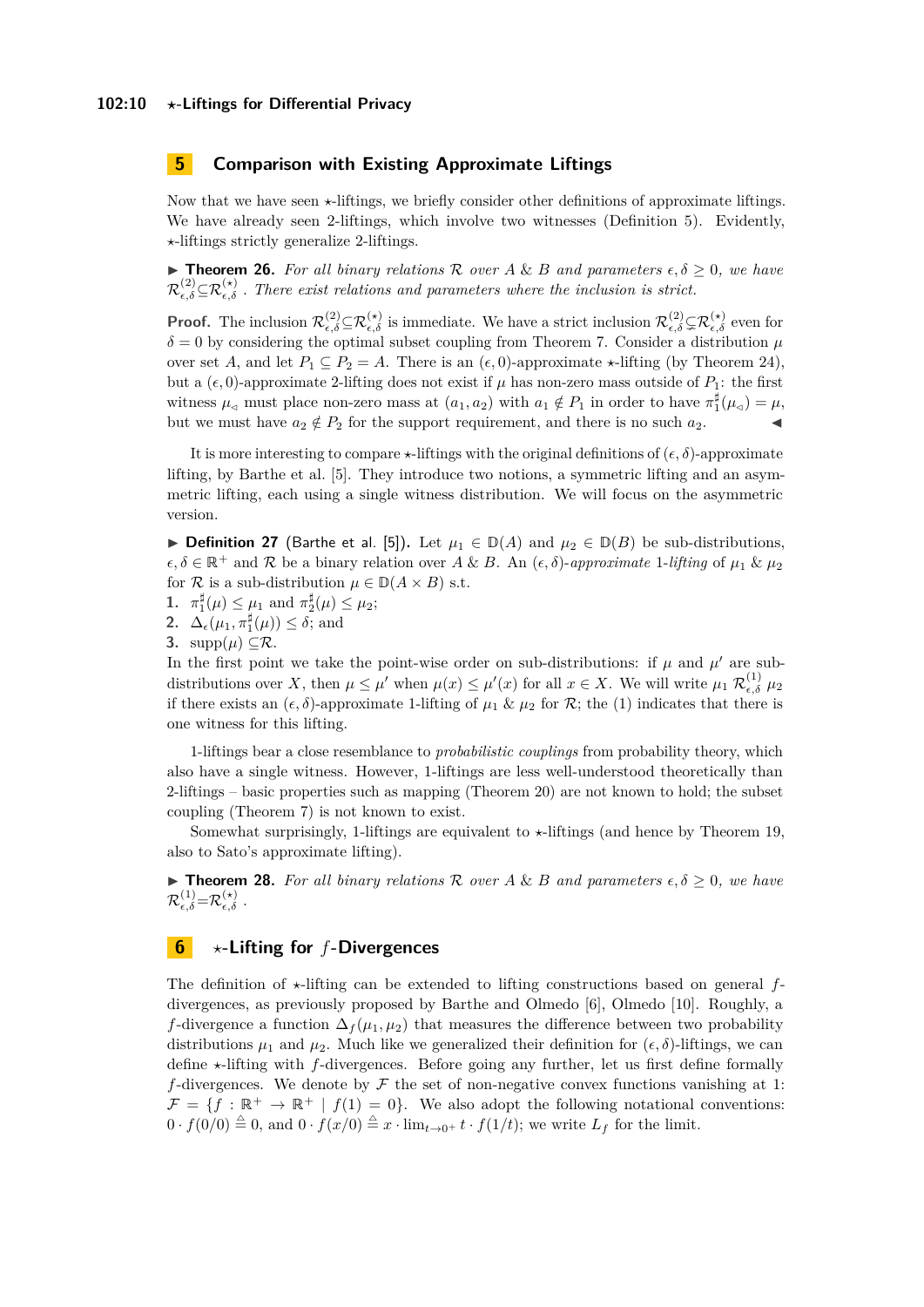# <span id="page-9-0"></span>**5 Comparison with Existing Approximate Liftings**

Now that we have seen  $\star$ -liftings, we briefly consider other definitions of approximate liftings. We have already seen 2-liftings, which involve two witnesses (Definition [5\)](#page-3-2). Evidently, *?*-liftings strictly generalize 2-liftings.

 $\triangleright$  **Theorem 26.** *For all binary relations*  $\mathcal{R}$  *over*  $A \& B$  *and parameters*  $\epsilon, \delta \geq 0$ *, we have*  $\mathcal{R}^{(2)}_{\epsilon,\delta} \subseteq \mathcal{R}^{(*)}_{\epsilon,\delta}$ . There exist relations and parameters where the inclusion is strict.

**Proof.** The inclusion  $\mathcal{R}_{\epsilon,\delta}^{(2)} \subseteq \mathcal{R}_{\epsilon,\delta}^{(\star)}$  is immediate. We have a strict inclusion  $\mathcal{R}_{\epsilon,\delta}^{(2)} \subseteq \mathcal{R}_{\epsilon,\delta}^{(\star)}$  even for  $\delta = 0$  by considering the optimal subset coupling from Theorem [7.](#page-3-1) Consider a distribution  $\mu$ over set *A*, and let  $P_1 \subseteq P_2 = A$ . There is an  $(\epsilon, 0)$ -approximate  $\star$ -lifting (by Theorem [24\)](#page-8-1), but a  $(\epsilon, 0)$ -approximate 2-lifting does not exist if  $\mu$  has non-zero mass outside of  $P_1$ : the first witness  $\mu_{\leq}$  must place non-zero mass at  $(a_1, a_2)$  with  $a_1 \notin P_1$  in order to have  $\pi_1^{\sharp}(\mu_{\leq}) = \mu$ , but we must have  $a_2 \notin P_2$  for the support requirement, and there is no such  $a_2$ .

It is more interesting to compare  $\star$ -liftings with the original definitions of  $(\epsilon, \delta)$ -approximate lifting, by Barthe et al. [\[5\]](#page-11-3). They introduce two notions, a symmetric lifting and an asymmetric lifting, each using a single witness distribution. We will focus on the asymmetric version.

**► Definition 27** (Barthe et al. [\[5\]](#page-11-3)). Let  $\mu_1 \in D(A)$  and  $\mu_2 \in D(B)$  be sub-distributions,  $\epsilon, \delta \in \mathbb{R}^+$  and  $\mathcal{R}$  be a binary relation over *A* & *B*. An  $(\epsilon, \delta)$ -*approximate* 1-*lifting* of  $\mu_1 \& \mu_2$ for R is a sub-distribution  $\mu \in \mathbb{D}(A \times B)$  s.t.

- **1.**  $\pi_1^{\sharp}(\mu) \leq \mu_1$  and  $\pi_2^{\sharp}(\mu) \leq \mu_2$ ;
- **2.**  $\Delta_{\epsilon}(\mu_1, \pi_1^{\sharp}(\mu)) \leq \delta$ ; and
- **3.**  $\text{supp}(\mu) \subseteq \mathcal{R}$ .

In the first point we take the point-wise order on sub-distributions: if  $\mu$  and  $\mu'$  are subdistributions over X, then  $\mu \leq \mu'$  when  $\mu(x) \leq \mu'(x)$  for all  $x \in X$ . We will write  $\mu_1 \mathcal{R}_{\epsilon,\delta}^{(1)} \mu_2$ if there exists an  $(\epsilon, \delta)$ -approximate 1-lifting of  $\mu_1 \& \mu_2$  for  $\mathcal{R}$ ; the (1) indicates that there is one witness for this lifting.

1-liftings bear a close resemblance to *probabilistic couplings* from probability theory, which also have a single witness. However, 1-liftings are less well-understood theoretically than 2-liftings – basic properties such as mapping (Theorem [20\)](#page-7-1) are not known to hold; the subset coupling (Theorem [7\)](#page-3-1) is not known to exist.

Somewhat surprisingly, 1-liftings are equivalent to  $\star$ -liftings (and hence by Theorem [19,](#page-6-0) also to Sato's approximate lifting).

**Findmark 128.** For all binary relations R over  $A \& B$  and parameters  $\epsilon, \delta \geq 0$ , we have  $\mathcal{R}_{\epsilon,\delta}^{(1)}\text{=}\mathcal{R}_{\epsilon,\delta}^{(\star)}$  .

# <span id="page-9-1"></span>**6** *?***-Lifting for** *f***-Divergences**

The definition of  $\star$ -lifting can be extended to lifting constructions based on general  $f$ divergences, as previously proposed by Barthe and Olmedo [\[6\]](#page-11-4), Olmedo [\[10\]](#page-11-5). Roughly, a *f*-divergence a function  $\Delta_f(\mu_1, \mu_2)$  that measures the difference between two probability distributions  $\mu_1$  and  $\mu_2$ . Much like we generalized their definition for  $(\epsilon, \delta)$ -liftings, we can define  $\star$ -lifting with  $f$ -divergences. Before going any further, let us first define formally *f*-divergences. We denote by  $\mathcal F$  the set of non-negative convex functions vanishing at 1:  $\mathcal{F} = \{f : \mathbb{R}^+ \to \mathbb{R}^+ \mid f(1) = 0\}.$  We also adopt the following notational conventions:  $0 \cdot f(0/0) \stackrel{\triangle}{=} 0$ , and  $0 \cdot f(x/0) \stackrel{\triangle}{=} x \cdot \lim_{t \to 0^+} t \cdot f(1/t)$ ; we write  $L_f$  for the limit.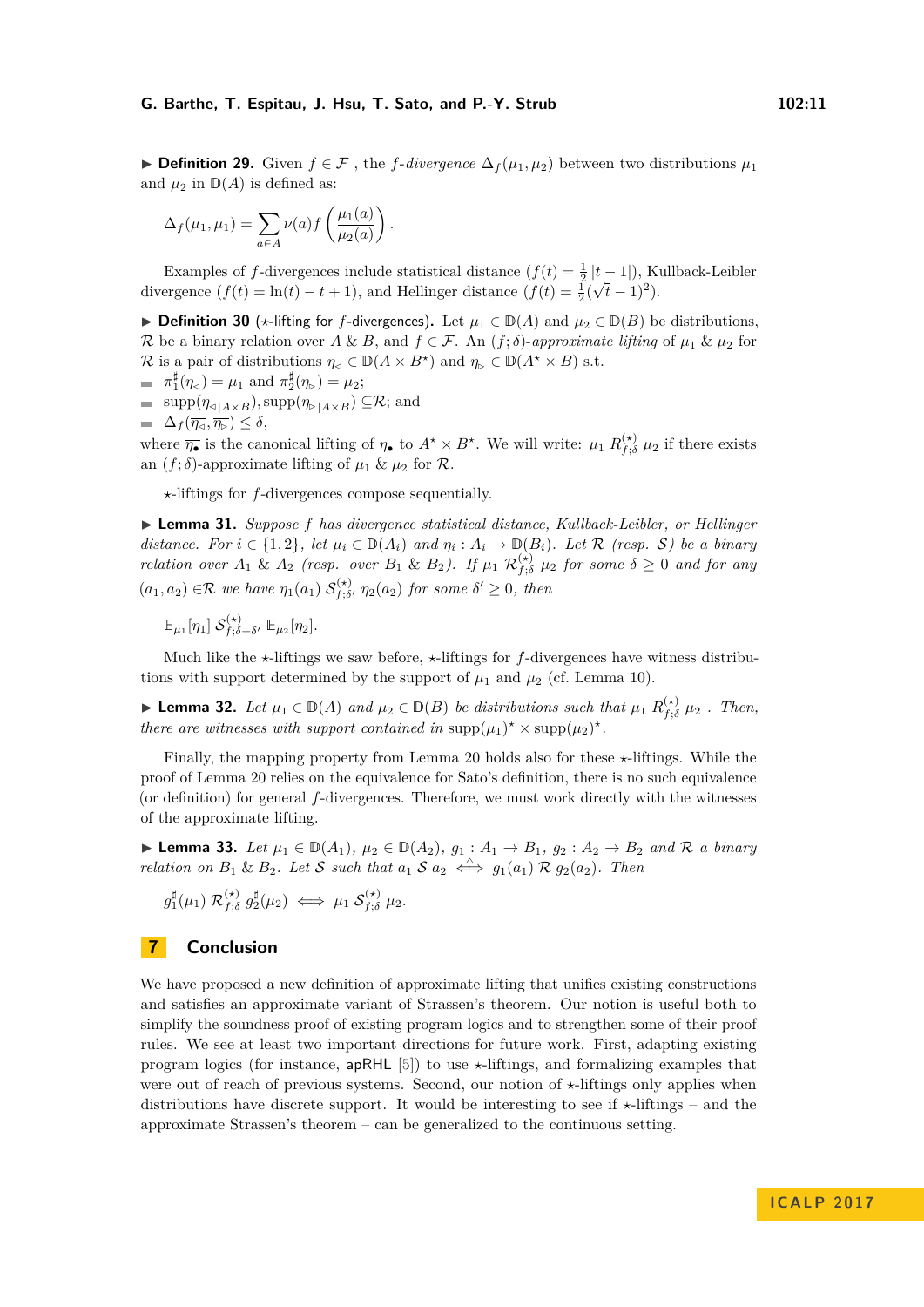**► Definition 29.** Given  $f \in \mathcal{F}$ , the *f*-divergence  $\Delta_f(\mu_1, \mu_2)$  between two distributions  $\mu_1$ and  $\mu_2$  in  $\mathbb{D}(A)$  is defined as:

$$
\Delta_f(\mu_1, \mu_1) = \sum_{a \in A} \nu(a) f\left(\frac{\mu_1(a)}{\mu_2(a)}\right).
$$

Examples of *f*-divergences include statistical distance  $(f(t) = \frac{1}{2} |t-1|)$ , Kullback-Leibler divergence  $(f(t) = \ln(t) - t + 1)$ , and Hellinger distance  $(f(t) = \frac{1}{2}(\sqrt{t} - 1)^2)$ .

**▶ Definition 30** ( $\star$ -lifting for *f*-divergences). Let  $\mu_1 \in D(A)$  and  $\mu_2 \in D(B)$  be distributions, R be a binary relation over  $A \& B$ , and  $f \in \mathcal{F}$ . An  $(f; \delta)$ -*approximate lifting* of  $\mu_1 \& \mu_2$  for R is a pair of distributions  $\eta_{\leq} \in D(A \times B^{\star})$  and  $\eta_{\geq} \in D(A^{\star} \times B)$  s.t.

- $\pi_1^{\sharp}(\eta_{\leq}) = \mu_1$  and  $\pi_2^{\sharp}(\eta_{\triangleright}) = \mu_2$ ;
- $=$  supp $(\eta_{\triangleleft | A \times B})$ , supp $(\eta_{\triangleright | A \times B}) \subseteq \mathcal{R}$ ; and

 $\blacksquare$   $\Delta_f(\overline{\eta_{\lhd}}, \overline{\eta_{\rhd}}) \leq \delta$ ,

where  $\overline{\eta_{\bullet}}$  is the canonical lifting of  $\eta_{\bullet}$  to  $A^* \times B^*$ . We will write:  $\mu_1 R_{f, \delta}^{(*)}$  $f_{f}^{(\star)}$ ,  $\mu_2$  if there exists an  $(f; \delta)$ -approximate lifting of  $\mu_1 \& \mu_2$  for  $\mathcal R$ .

*?*-liftings for *f*-divergences compose sequentially.

I **Lemma 31.** *Suppose f has divergence statistical distance, Kullback-Leibler, or Hellinger distance. For*  $i \in \{1,2\}$ , let  $\mu_i \in D(A_i)$  and  $\eta_i : A_i \to D(B_i)$ . Let R (resp. S) be a binary *relation over*  $A_1$  &  $A_2$  *(resp. over*  $B_1$  &  $B_2$ *). If*  $\mu_1$   $\mathcal{R}_{f,\delta}^{(*)}$  $f_{f; \delta}^{(\star)}$   $\mu_2$  *for some*  $\delta \geq 0$  *and for any*  $(a_1, a_2) \in \mathcal{R}$  *we have*  $\eta_1(a_1)$   $\mathcal{S}_{f, \delta}^{(\star)}$  $f_{f; \delta}^{(\star)}$   $\eta_2(a_2)$  *for some*  $\delta' \geq 0$ *, then* 

 $\mathbb{E}_{\mu_1}[\eta_1]~\mathcal{S}^{(\star)}_{f;\delta}$  $f$ <sup> $(f; \delta + \delta'$ </sup>  $\mathbb{E}_{\mu_2}[\eta_2]$ *.* 

Much like the  $\star$ -liftings we saw before,  $\star$ -liftings for *f*-divergences have witness distributions with support determined by the support of  $\mu_1$  and  $\mu_2$  (cf. Lemma [10\)](#page-4-1).

► Lemma 32. Let  $\mu_1 \in D(A)$  and  $\mu_2 \in D(B)$  be distributions such that  $\mu_1 R_{f,d}^{(\star)}$  $f_{f, \delta}^{(\star)}$   $\mu_2$  *. Then, there are witnesses with support contained in*  $\text{supp}(\mu_1)^* \times \text{supp}(\mu_2)^*$ .

Finally, the mapping property from Lemma [20](#page-7-1) holds also for these  $\star$ -liftings. While the proof of Lemma [20](#page-7-1) relies on the equivalence for Sato's definition, there is no such equivalence (or definition) for general *f*-divergences. Therefore, we must work directly with the witnesses of the approximate lifting.

▶ **Lemma 33.** *Let*  $\mu_1 \in \mathbb{D}(A_1)$ ,  $\mu_2 \in \mathbb{D}(A_2)$ ,  $g_1 : A_1 \to B_1$ ,  $g_2 : A_2 \to B_2$  and R a binary *relation on*  $B_1 \& B_2$ *. Let* S *such that*  $a_1 S a_2 \iff g_1(a_1) R g_2(a_2)$ *. Then* 

$$
g_1^{\sharp}(\mu_1) \mathcal{R}_{f; \delta}^{(\star)} g_2^{\sharp}(\mu_2) \iff \mu_1 \mathcal{S}_{f; \delta}^{(\star)} \mu_2.
$$

## **7 Conclusion**

We have proposed a new definition of approximate lifting that unifies existing constructions and satisfies an approximate variant of Strassen's theorem. Our notion is useful both to simplify the soundness proof of existing program logics and to strengthen some of their proof rules. We see at least two important directions for future work. First, adapting existing program logics (for instance,  $apRHL$  [\[5\]](#page-11-3)) to use  $\star$ -liftings, and formalizing examples that were out of reach of previous systems. Second, our notion of  $\star$ -liftings only applies when distributions have discrete support. It would be interesting to see if  $\star$ -liftings – and the approximate Strassen's theorem – can be generalized to the continuous setting.